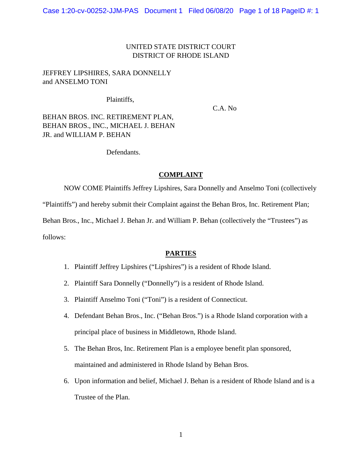### UNITED STATE DISTRICT COURT DISTRICT OF RHODE ISLAND

# JEFFREY LIPSHIRES, SARA DONNELLY and ANSELMO TONI

Plaintiffs,

C.A. No

BEHAN BROS. INC. RETIREMENT PLAN, BEHAN BROS., INC., MICHAEL J. BEHAN JR. and WILLIAM P. BEHAN

Defendants.

#### **COMPLAINT**

NOW COME Plaintiffs Jeffrey Lipshires, Sara Donnelly and Anselmo Toni (collectively

"Plaintiffs") and hereby submit their Complaint against the Behan Bros, Inc. Retirement Plan;

Behan Bros., Inc., Michael J. Behan Jr. and William P. Behan (collectively the "Trustees") as

follows:

### **PARTIES**

- 1. Plaintiff Jeffrey Lipshires ("Lipshires") is a resident of Rhode Island.
- 2. Plaintiff Sara Donnelly ("Donnelly") is a resident of Rhode Island.
- 3. Plaintiff Anselmo Toni ("Toni") is a resident of Connecticut.
- 4. Defendant Behan Bros., Inc. ("Behan Bros.") is a Rhode Island corporation with a principal place of business in Middletown, Rhode Island.
- 5. The Behan Bros, Inc. Retirement Plan is a employee benefit plan sponsored, maintained and administered in Rhode Island by Behan Bros.
- 6. Upon information and belief, Michael J. Behan is a resident of Rhode Island and is a Trustee of the Plan.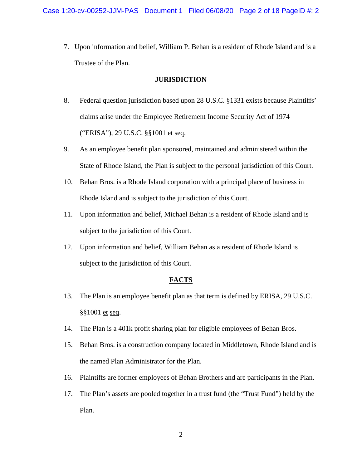7. Upon information and belief, William P. Behan is a resident of Rhode Island and is a Trustee of the Plan.

#### **JURISDICTION**

- 8. Federal question jurisdiction based upon 28 U.S.C. §1331 exists because Plaintiffs' claims arise under the Employee Retirement Income Security Act of 1974 ("ERISA"), 29 U.S.C. §§1001 et seq.
- 9. As an employee benefit plan sponsored, maintained and administered within the State of Rhode Island, the Plan is subject to the personal jurisdiction of this Court.
- 10. Behan Bros. is a Rhode Island corporation with a principal place of business in Rhode Island and is subject to the jurisdiction of this Court.
- 11. Upon information and belief, Michael Behan is a resident of Rhode Island and is subject to the jurisdiction of this Court.
- 12. Upon information and belief, William Behan as a resident of Rhode Island is subject to the jurisdiction of this Court.

### **FACTS**

- 13. The Plan is an employee benefit plan as that term is defined by ERISA, 29 U.S.C. §§1001 et seq.
- 14. The Plan is a 401k profit sharing plan for eligible employees of Behan Bros.
- 15. Behan Bros. is a construction company located in Middletown, Rhode Island and is the named Plan Administrator for the Plan.
- 16. Plaintiffs are former employees of Behan Brothers and are participants in the Plan.
- 17. The Plan's assets are pooled together in a trust fund (the "Trust Fund") held by the Plan.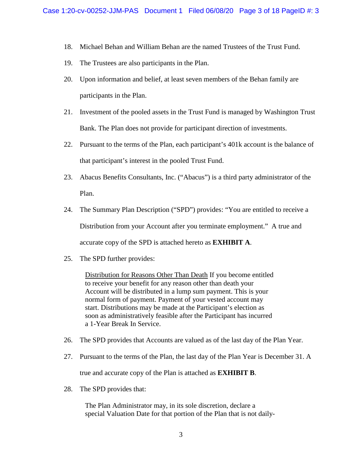- 18. Michael Behan and William Behan are the named Trustees of the Trust Fund.
- 19. The Trustees are also participants in the Plan.
- 20. Upon information and belief, at least seven members of the Behan family are participants in the Plan.
- 21. Investment of the pooled assets in the Trust Fund is managed by Washington Trust Bank. The Plan does not provide for participant direction of investments.
- 22. Pursuant to the terms of the Plan, each participant's 401k account is the balance of that participant's interest in the pooled Trust Fund.
- 23. Abacus Benefits Consultants, Inc. ("Abacus") is a third party administrator of the Plan.
- 24. The Summary Plan Description ("SPD") provides: "You are entitled to receive a Distribution from your Account after you terminate employment." A true and accurate copy of the SPD is attached hereto as **EXHIBIT A**.
- 25. The SPD further provides:

Distribution for Reasons Other Than Death If you become entitled to receive your benefit for any reason other than death your Account will be distributed in a lump sum payment. This is your normal form of payment. Payment of your vested account may start. Distributions may be made at the Participant's election as soon as administratively feasible after the Participant has incurred a 1-Year Break In Service.

- 26. The SPD provides that Accounts are valued as of the last day of the Plan Year.
- 27. Pursuant to the terms of the Plan, the last day of the Plan Year is December 31. A true and accurate copy of the Plan is attached as **EXHIBIT B**.
- 28. The SPD provides that:

The Plan Administrator may, in its sole discretion, declare a special Valuation Date for that portion of the Plan that is not daily-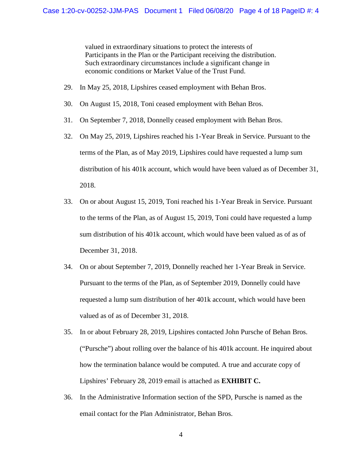valued in extraordinary situations to protect the interests of Participants in the Plan or the Participant receiving the distribution. Such extraordinary circumstances include a significant change in economic conditions or Market Value of the Trust Fund.

- 29. In May 25, 2018, Lipshires ceased employment with Behan Bros.
- 30. On August 15, 2018, Toni ceased employment with Behan Bros.
- 31. On September 7, 2018, Donnelly ceased employment with Behan Bros.
- 32. On May 25, 2019, Lipshires reached his 1-Year Break in Service. Pursuant to the terms of the Plan, as of May 2019, Lipshires could have requested a lump sum distribution of his 401k account, which would have been valued as of December 31, 2018.
- 33. On or about August 15, 2019, Toni reached his 1-Year Break in Service. Pursuant to the terms of the Plan, as of August 15, 2019, Toni could have requested a lump sum distribution of his 401k account, which would have been valued as of as of December 31, 2018.
- 34. On or about September 7, 2019, Donnelly reached her 1-Year Break in Service. Pursuant to the terms of the Plan, as of September 2019, Donnelly could have requested a lump sum distribution of her 401k account, which would have been valued as of as of December 31, 2018.
- 35. In or about February 28, 2019, Lipshires contacted John Pursche of Behan Bros. ("Pursche") about rolling over the balance of his 401k account. He inquired about how the termination balance would be computed. A true and accurate copy of Lipshires' February 28, 2019 email is attached as **EXHIBIT C.**
- 36. In the Administrative Information section of the SPD, Pursche is named as the email contact for the Plan Administrator, Behan Bros.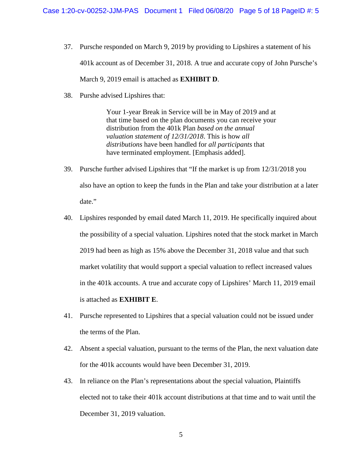- 37. Pursche responded on March 9, 2019 by providing to Lipshires a statement of his 401k account as of December 31, 2018. A true and accurate copy of John Pursche's March 9, 2019 email is attached as **EXHIBIT D**.
- 38. Purshe advised Lipshires that:

Your 1-year Break in Service will be in May of 2019 and at that time based on the plan documents you can receive your distribution from the 401k Plan *based on the annual valuation statement of 12/31/2018*. This is how *all distributions* have been handled for *all participants* that have terminated employment. [Emphasis added].

- 39. Pursche further advised Lipshires that "If the market is up from 12/31/2018 you also have an option to keep the funds in the Plan and take your distribution at a later date."
- 40. Lipshires responded by email dated March 11, 2019. He specifically inquired about the possibility of a special valuation. Lipshires noted that the stock market in March 2019 had been as high as 15% above the December 31, 2018 value and that such market volatility that would support a special valuation to reflect increased values in the 401k accounts. A true and accurate copy of Lipshires' March 11, 2019 email is attached as **EXHIBIT E**.
- 41. Pursche represented to Lipshires that a special valuation could not be issued under the terms of the Plan.
- 42. Absent a special valuation, pursuant to the terms of the Plan, the next valuation date for the 401k accounts would have been December 31, 2019.
- 43. In reliance on the Plan's representations about the special valuation, Plaintiffs elected not to take their 401k account distributions at that time and to wait until the December 31, 2019 valuation.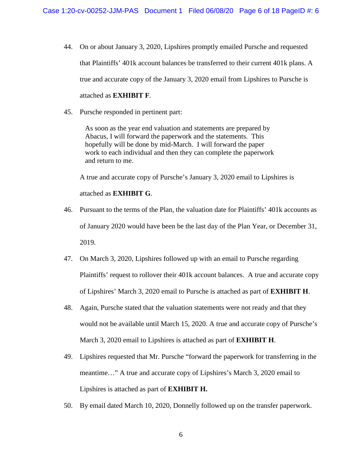- 44. On or about January 3, 2020, Lipshires promptly emailed Pursche and requested that Plaintiffs' 401k account balances be transferred to their current 401k plans. A true and accurate copy of the January 3, 2020 email from Lipshires to Pursche is attached as **EXHIBIT F**.
- 45. Pursche responded in pertinent part:

As soon as the year end valuation and statements are prepared by Abacus, I will forward the paperwork and the statements. This hopefully will be done by mid-March. I will forward the paper work to each individual and then they can complete the paperwork and return to me.

A true and accurate copy of Pursche's January 3, 2020 email to Lipshires is

attached as **EXHIBIT G**.

- 46. Pursuant to the terms of the Plan, the valuation date for Plaintiffs' 401k accounts as of January 2020 would have been be the last day of the Plan Year, or December 31, 2019.
- 47. On March 3, 2020, Lipshires followed up with an email to Pursche regarding Plaintiffs' request to rollover their 401k account balances. A true and accurate copy of Lipshires' March 3, 2020 email to Pursche is attached as part of **EXHIBIT H**.
- 48. Again, Pursche stated that the valuation statements were not ready and that they would not be available until March 15, 2020. A true and accurate copy of Pursche's March 3, 2020 email to Lipshires is attached as part of **EXHIBIT H**.
- 49. Lipshires requested that Mr. Pursche "forward the paperwork for transferring in the meantime…" A true and accurate copy of Lipshires's March 3, 2020 email to Lipshires is attached as part of **EXHIBIT H.**
- 50. By email dated March 10, 2020, Donnelly followed up on the transfer paperwork.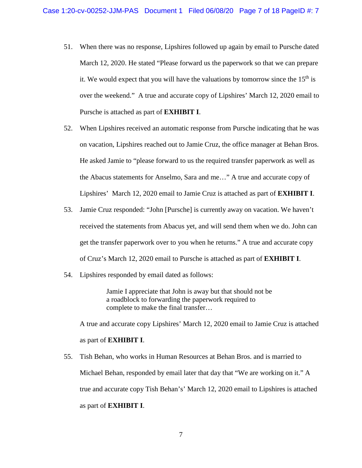- 51. When there was no response, Lipshires followed up again by email to Pursche dated March 12, 2020. He stated "Please forward us the paperwork so that we can prepare it. We would expect that you will have the valuations by tomorrow since the  $15<sup>th</sup>$  is over the weekend." A true and accurate copy of Lipshires' March 12, 2020 email to Pursche is attached as part of **EXHIBIT I**.
- 52. When Lipshires received an automatic response from Pursche indicating that he was on vacation, Lipshires reached out to Jamie Cruz, the office manager at Behan Bros. He asked Jamie to "please forward to us the required transfer paperwork as well as the Abacus statements for Anselmo, Sara and me…" A true and accurate copy of Lipshires' March 12, 2020 email to Jamie Cruz is attached as part of **EXHIBIT I**.
- 53. Jamie Cruz responded: "John [Pursche] is currently away on vacation. We haven't received the statements from Abacus yet, and will send them when we do. John can get the transfer paperwork over to you when he returns." A true and accurate copy of Cruz's March 12, 2020 email to Pursche is attached as part of **EXHIBIT I**.
- 54. Lipshires responded by email dated as follows:

Jamie I appreciate that John is away but that should not be a roadblock to forwarding the paperwork required to complete to make the final transfer…

A true and accurate copy Lipshires' March 12, 2020 email to Jamie Cruz is attached as part of **EXHIBIT I**.

55. Tish Behan, who works in Human Resources at Behan Bros. and is married to Michael Behan, responded by email later that day that "We are working on it." A true and accurate copy Tish Behan's' March 12, 2020 email to Lipshires is attached as part of **EXHIBIT I**.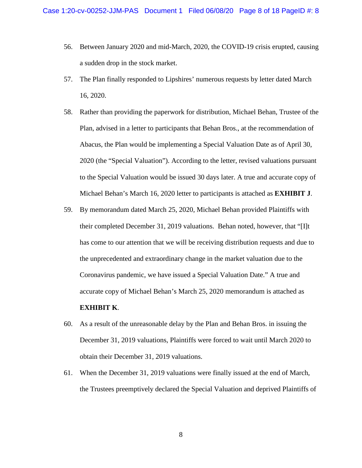- 56. Between January 2020 and mid-March, 2020, the COVID-19 crisis erupted, causing a sudden drop in the stock market.
- 57. The Plan finally responded to Lipshires' numerous requests by letter dated March 16, 2020.
- 58. Rather than providing the paperwork for distribution, Michael Behan, Trustee of the Plan, advised in a letter to participants that Behan Bros., at the recommendation of Abacus, the Plan would be implementing a Special Valuation Date as of April 30, 2020 (the "Special Valuation"). According to the letter, revised valuations pursuant to the Special Valuation would be issued 30 days later. A true and accurate copy of Michael Behan's March 16, 2020 letter to participants is attached as **EXHIBIT J**.
- 59. By memorandum dated March 25, 2020, Michael Behan provided Plaintiffs with their completed December 31, 2019 valuations. Behan noted, however, that "[I]t has come to our attention that we will be receiving distribution requests and due to the unprecedented and extraordinary change in the market valuation due to the Coronavirus pandemic, we have issued a Special Valuation Date." A true and accurate copy of Michael Behan's March 25, 2020 memorandum is attached as **EXHIBIT K**.
- 60. As a result of the unreasonable delay by the Plan and Behan Bros. in issuing the December 31, 2019 valuations, Plaintiffs were forced to wait until March 2020 to obtain their December 31, 2019 valuations.
- 61. When the December 31, 2019 valuations were finally issued at the end of March, the Trustees preemptively declared the Special Valuation and deprived Plaintiffs of

8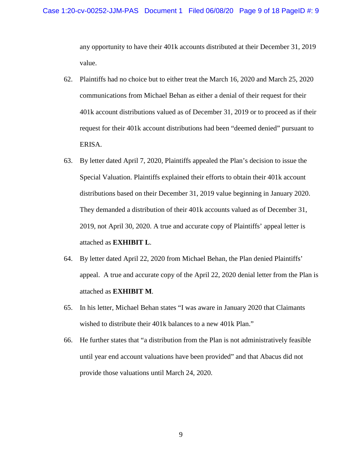any opportunity to have their 401k accounts distributed at their December 31, 2019 value.

- 62. Plaintiffs had no choice but to either treat the March 16, 2020 and March 25, 2020 communications from Michael Behan as either a denial of their request for their 401k account distributions valued as of December 31, 2019 or to proceed as if their request for their 401k account distributions had been "deemed denied" pursuant to ERISA.
- 63. By letter dated April 7, 2020, Plaintiffs appealed the Plan's decision to issue the Special Valuation. Plaintiffs explained their efforts to obtain their 401k account distributions based on their December 31, 2019 value beginning in January 2020. They demanded a distribution of their 401k accounts valued as of December 31, 2019, not April 30, 2020. A true and accurate copy of Plaintiffs' appeal letter is attached as **EXHIBIT L**.
- 64. By letter dated April 22, 2020 from Michael Behan, the Plan denied Plaintiffs' appeal. A true and accurate copy of the April 22, 2020 denial letter from the Plan is attached as **EXHIBIT M**.
- 65. In his letter, Michael Behan states "I was aware in January 2020 that Claimants wished to distribute their 401k balances to a new 401k Plan."
- 66. He further states that "a distribution from the Plan is not administratively feasible until year end account valuations have been provided" and that Abacus did not provide those valuations until March 24, 2020.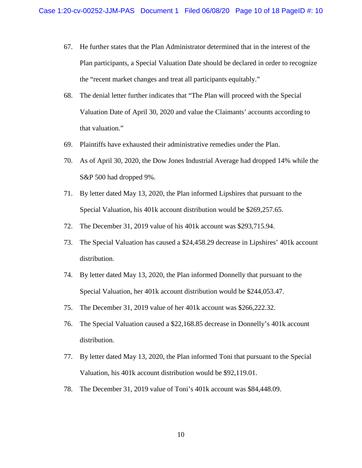- 67. He further states that the Plan Administrator determined that in the interest of the Plan participants, a Special Valuation Date should be declared in order to recognize the "recent market changes and treat all participants equitably."
- 68. The denial letter further indicates that "The Plan will proceed with the Special Valuation Date of April 30, 2020 and value the Claimants' accounts according to that valuation."
- 69. Plaintiffs have exhausted their administrative remedies under the Plan.
- 70. As of April 30, 2020, the Dow Jones Industrial Average had dropped 14% while the S&P 500 had dropped 9%.
- 71. By letter dated May 13, 2020, the Plan informed Lipshires that pursuant to the Special Valuation, his 401k account distribution would be \$269,257.65.
- 72. The December 31, 2019 value of his 401k account was \$293,715.94.
- 73. The Special Valuation has caused a \$24,458.29 decrease in Lipshires' 401k account distribution.
- 74. By letter dated May 13, 2020, the Plan informed Donnelly that pursuant to the Special Valuation, her 401k account distribution would be \$244,053.47.
- 75. The December 31, 2019 value of her 401k account was \$266,222.32.
- 76. The Special Valuation caused a \$22,168.85 decrease in Donnelly's 401k account distribution.
- 77. By letter dated May 13, 2020, the Plan informed Toni that pursuant to the Special Valuation, his 401k account distribution would be \$92,119.01.
- 78. The December 31, 2019 value of Toni's 401k account was \$84,448.09.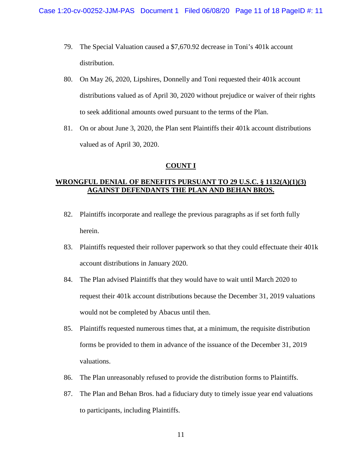- 79. The Special Valuation caused a \$7,670.92 decrease in Toni's 401k account distribution.
- 80. On May 26, 2020, Lipshires, Donnelly and Toni requested their 401k account distributions valued as of April 30, 2020 without prejudice or waiver of their rights to seek additional amounts owed pursuant to the terms of the Plan.
- 81. On or about June 3, 2020, the Plan sent Plaintiffs their 401k account distributions valued as of April 30, 2020.

#### **COUNT I**

# **WRONGFUL DENIAL OF BENEFITS PURSUANT TO 29 U.S.C. § 1132(A)(1)(3) AGAINST DEFENDANTS THE PLAN AND BEHAN BROS.**

- 82. Plaintiffs incorporate and reallege the previous paragraphs as if set forth fully herein.
- 83. Plaintiffs requested their rollover paperwork so that they could effectuate their 401k account distributions in January 2020.
- 84. The Plan advised Plaintiffs that they would have to wait until March 2020 to request their 401k account distributions because the December 31, 2019 valuations would not be completed by Abacus until then.
- 85. Plaintiffs requested numerous times that, at a minimum, the requisite distribution forms be provided to them in advance of the issuance of the December 31, 2019 valuations.
- 86. The Plan unreasonably refused to provide the distribution forms to Plaintiffs.
- 87. The Plan and Behan Bros. had a fiduciary duty to timely issue year end valuations to participants, including Plaintiffs.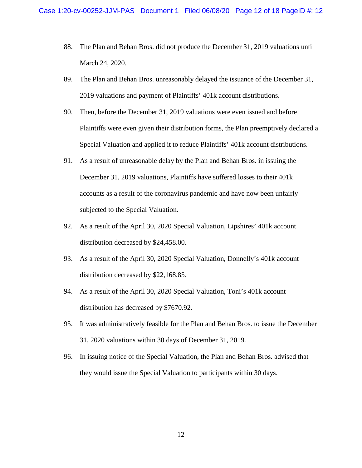- 88. The Plan and Behan Bros. did not produce the December 31, 2019 valuations until March 24, 2020.
- 89. The Plan and Behan Bros. unreasonably delayed the issuance of the December 31, 2019 valuations and payment of Plaintiffs' 401k account distributions.
- 90. Then, before the December 31, 2019 valuations were even issued and before Plaintiffs were even given their distribution forms, the Plan preemptively declared a Special Valuation and applied it to reduce Plaintiffs' 401k account distributions.
- 91. As a result of unreasonable delay by the Plan and Behan Bros. in issuing the December 31, 2019 valuations, Plaintiffs have suffered losses to their 401k accounts as a result of the coronavirus pandemic and have now been unfairly subjected to the Special Valuation.
- 92. As a result of the April 30, 2020 Special Valuation, Lipshires' 401k account distribution decreased by \$24,458.00.
- 93. As a result of the April 30, 2020 Special Valuation, Donnelly's 401k account distribution decreased by \$22,168.85.
- 94. As a result of the April 30, 2020 Special Valuation, Toni's 401k account distribution has decreased by \$7670.92.
- 95. It was administratively feasible for the Plan and Behan Bros. to issue the December 31, 2020 valuations within 30 days of December 31, 2019.
- 96. In issuing notice of the Special Valuation, the Plan and Behan Bros. advised that they would issue the Special Valuation to participants within 30 days.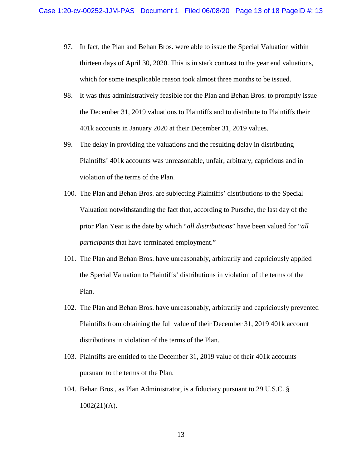- 97. In fact, the Plan and Behan Bros. were able to issue the Special Valuation within thirteen days of April 30, 2020. This is in stark contrast to the year end valuations, which for some inexplicable reason took almost three months to be issued.
- 98. It was thus administratively feasible for the Plan and Behan Bros. to promptly issue the December 31, 2019 valuations to Plaintiffs and to distribute to Plaintiffs their 401k accounts in January 2020 at their December 31, 2019 values.
- 99. The delay in providing the valuations and the resulting delay in distributing Plaintiffs' 401k accounts was unreasonable, unfair, arbitrary, capricious and in violation of the terms of the Plan.
- 100. The Plan and Behan Bros. are subjecting Plaintiffs' distributions to the Special Valuation notwithstanding the fact that, according to Pursche, the last day of the prior Plan Year is the date by which "*all distributions*" have been valued for "*all participants* that have terminated employment."
- 101. The Plan and Behan Bros. have unreasonably, arbitrarily and capriciously applied the Special Valuation to Plaintiffs' distributions in violation of the terms of the Plan.
- 102. The Plan and Behan Bros. have unreasonably, arbitrarily and capriciously prevented Plaintiffs from obtaining the full value of their December 31, 2019 401k account distributions in violation of the terms of the Plan.
- 103. Plaintiffs are entitled to the December 31, 2019 value of their 401k accounts pursuant to the terms of the Plan.
- 104. Behan Bros., as Plan Administrator, is a fiduciary pursuant to 29 U.S.C. §  $1002(21)(A)$ .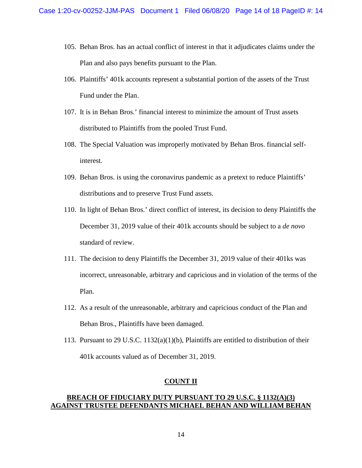- 105. Behan Bros. has an actual conflict of interest in that it adjudicates claims under the Plan and also pays benefits pursuant to the Plan.
- 106. Plaintiffs' 401k accounts represent a substantial portion of the assets of the Trust Fund under the Plan.
- 107. It is in Behan Bros.' financial interest to minimize the amount of Trust assets distributed to Plaintiffs from the pooled Trust Fund.
- 108. The Special Valuation was improperly motivated by Behan Bros. financial selfinterest.
- 109. Behan Bros. is using the coronavirus pandemic as a pretext to reduce Plaintiffs' distributions and to preserve Trust Fund assets.
- 110. In light of Behan Bros.' direct conflict of interest, its decision to deny Plaintiffs the December 31, 2019 value of their 401k accounts should be subject to a *de novo* standard of review.
- 111. The decision to deny Plaintiffs the December 31, 2019 value of their 401ks was incorrect, unreasonable, arbitrary and capricious and in violation of the terms of the Plan.
- 112. As a result of the unreasonable, arbitrary and capricious conduct of the Plan and Behan Bros., Plaintiffs have been damaged.
- 113. Pursuant to 29 U.S.C. 1132(a)(1)(b), Plaintiffs are entitled to distribution of their 401k accounts valued as of December 31, 2019.

#### **COUNT II**

# **BREACH OF FIDUCIARY DUTY PURSUANT TO 29 U.S.C. § 1132(A)(3) AGAINST TRUSTEE DEFENDANTS MICHAEL BEHAN AND WILLIAM BEHAN**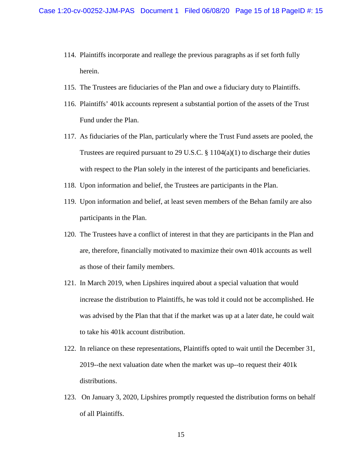- 114. Plaintiffs incorporate and reallege the previous paragraphs as if set forth fully herein.
- 115. The Trustees are fiduciaries of the Plan and owe a fiduciary duty to Plaintiffs.
- 116. Plaintiffs' 401k accounts represent a substantial portion of the assets of the Trust Fund under the Plan.
- 117. As fiduciaries of the Plan, particularly where the Trust Fund assets are pooled, the Trustees are required pursuant to 29 U.S.C.  $\S 1104(a)(1)$  to discharge their duties with respect to the Plan solely in the interest of the participants and beneficiaries.
- 118. Upon information and belief, the Trustees are participants in the Plan.
- 119. Upon information and belief, at least seven members of the Behan family are also participants in the Plan.
- 120. The Trustees have a conflict of interest in that they are participants in the Plan and are, therefore, financially motivated to maximize their own 401k accounts as well as those of their family members.
- 121. In March 2019, when Lipshires inquired about a special valuation that would increase the distribution to Plaintiffs, he was told it could not be accomplished. He was advised by the Plan that that if the market was up at a later date, he could wait to take his 401k account distribution.
- 122. In reliance on these representations, Plaintiffs opted to wait until the December 31, 2019--the next valuation date when the market was up--to request their 401k distributions.
- 123. On January 3, 2020, Lipshires promptly requested the distribution forms on behalf of all Plaintiffs.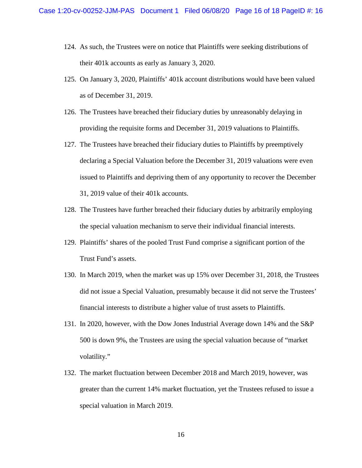- 124. As such, the Trustees were on notice that Plaintiffs were seeking distributions of their 401k accounts as early as January 3, 2020.
- 125. On January 3, 2020, Plaintiffs' 401k account distributions would have been valued as of December 31, 2019.
- 126. The Trustees have breached their fiduciary duties by unreasonably delaying in providing the requisite forms and December 31, 2019 valuations to Plaintiffs.
- 127. The Trustees have breached their fiduciary duties to Plaintiffs by preemptively declaring a Special Valuation before the December 31, 2019 valuations were even issued to Plaintiffs and depriving them of any opportunity to recover the December 31, 2019 value of their 401k accounts.
- 128. The Trustees have further breached their fiduciary duties by arbitrarily employing the special valuation mechanism to serve their individual financial interests.
- 129. Plaintiffs' shares of the pooled Trust Fund comprise a significant portion of the Trust Fund's assets.
- 130. In March 2019, when the market was up 15% over December 31, 2018, the Trustees did not issue a Special Valuation, presumably because it did not serve the Trustees' financial interests to distribute a higher value of trust assets to Plaintiffs.
- 131. In 2020, however, with the Dow Jones Industrial Average down 14% and the S&P 500 is down 9%, the Trustees are using the special valuation because of "market volatility."
- 132. The market fluctuation between December 2018 and March 2019, however, was greater than the current 14% market fluctuation, yet the Trustees refused to issue a special valuation in March 2019.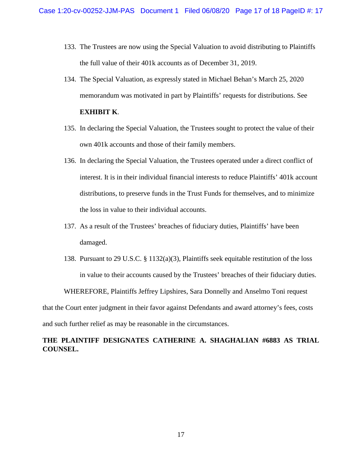- 133. The Trustees are now using the Special Valuation to avoid distributing to Plaintiffs the full value of their 401k accounts as of December 31, 2019.
- 134. The Special Valuation, as expressly stated in Michael Behan's March 25, 2020 memorandum was motivated in part by Plaintiffs' requests for distributions. See **EXHIBIT K**.
- 135. In declaring the Special Valuation, the Trustees sought to protect the value of their own 401k accounts and those of their family members.
- 136. In declaring the Special Valuation, the Trustees operated under a direct conflict of interest. It is in their individual financial interests to reduce Plaintiffs' 401k account distributions, to preserve funds in the Trust Funds for themselves, and to minimize the loss in value to their individual accounts.
- 137. As a result of the Trustees' breaches of fiduciary duties, Plaintiffs' have been damaged.
- 138. Pursuant to 29 U.S.C. § 1132(a)(3), Plaintiffs seek equitable restitution of the loss in value to their accounts caused by the Trustees' breaches of their fiduciary duties.

WHEREFORE, Plaintiffs Jeffrey Lipshires, Sara Donnelly and Anselmo Toni request

that the Court enter judgment in their favor against Defendants and award attorney's fees, costs

and such further relief as may be reasonable in the circumstances.

# **THE PLAINTIFF DESIGNATES CATHERINE A. SHAGHALIAN #6883 AS TRIAL COUNSEL.**